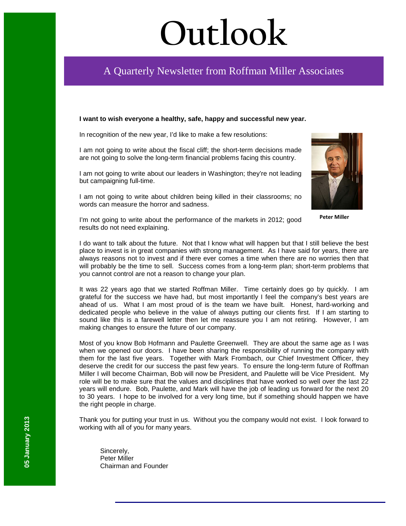# **Outlook**

## A Quarterly Newsletter from Roffman Miller Associates

#### **I want to wish everyone a healthy, safe, happy and successful new year.**

In recognition of the new year, I'd like to make a few resolutions:

I am not going to write about the fiscal cliff; the short-term decisions made are not going to solve the long-term financial problems facing this country.

I am not going to write about our leaders in Washington; they're not leading but campaigning full-time.

I am not going to write about children being killed in their classrooms; no words can measure the horror and sadness.



**Peter Miller**

I'm not going to write about the performance of the markets in 2012; good results do not need explaining.

I do want to talk about the future. Not that I know what will happen but that I still believe the best place to invest is in great companies with strong management. As I have said for years, there are always reasons not to invest and if there ever comes a time when there are no worries then that will probably be the time to sell. Success comes from a long-term plan; short-term problems that you cannot control are not a reason to change your plan.

It was 22 years ago that we started Roffman Miller. Time certainly does go by quickly. I am grateful for the success we have had, but most importantly I feel the company's best years are ahead of us. What I am most proud of is the team we have built. Honest, hard-working and dedicated people who believe in the value of always putting our clients first. If I am starting to sound like this is a farewell letter then let me reassure you I am not retiring. However, I am making changes to ensure the future of our company.

Most of you know Bob Hofmann and Paulette Greenwell. They are about the same age as I was when we opened our doors. I have been sharing the responsibility of running the company with them for the last five years. Together with Mark Frombach, our Chief Investment Officer, they deserve the credit for our success the past few years. To ensure the long-term future of Roffman Miller I will become Chairman, Bob will now be President, and Paulette will be Vice President. My role will be to make sure that the values and disciplines that have worked so well over the last 22 years will endure. Bob, Paulette, and Mark will have the job of leading us forward for the next 20 to 30 years. I hope to be involved for a very long time, but if something should happen we have the right people in charge.

Thank you for putting your trust in us. Without you the company would not exist. I look forward to working with all of you for many years.

Sincerely, Peter Miller Chairman and Founder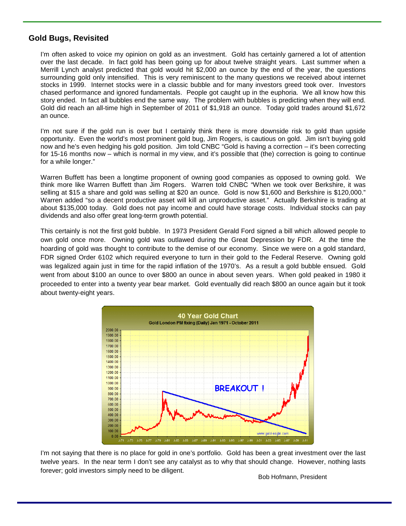### **Gold Bugs, Revisited**

I'm often asked to voice my opinion on gold as an investment. Gold has certainly garnered a lot of attention over the last decade. In fact gold has been going up for about twelve straight years. Last summer when a Merrill Lynch analyst predicted that gold would hit \$2,000 an ounce by the end of the year, the questions surrounding gold only intensified. This is very reminiscent to the many questions we received about internet stocks in 1999. Internet stocks were in a classic bubble and for many investors greed took over. Investors chased performance and ignored fundamentals. People got caught up in the euphoria. We all know how this story ended. In fact all bubbles end the same way. The problem with bubbles is predicting when they will end. Gold did reach an all-time high in September of 2011 of \$1,918 an ounce. Today gold trades around \$1,672 an ounce.

I'm not sure if the gold run is over but I certainly think there is more downside risk to gold than upside opportunity. Even the world's most prominent gold bug, Jim Rogers, is cautious on gold. Jim isn't buying gold now and he's even hedging his gold position. Jim told CNBC "Gold is having a correction – it's been correcting for 15-16 months now – which is normal in my view, and it's possible that (the) correction is going to continue for a while longer."

Warren Buffett has been a longtime proponent of owning good companies as opposed to owning gold. We think more like Warren Buffett than Jim Rogers. Warren told CNBC "When we took over Berkshire, it was selling at \$15 a share and gold was selling at \$20 an ounce. Gold is now \$1,600 and Berkshire is \$120,000." Warren added "so a decent productive asset will kill an unproductive asset." Actually Berkshire is trading at about \$135,000 today. Gold does not pay income and could have storage costs. Individual stocks can pay dividends and also offer great long-term growth potential.

This certainly is not the first gold bubble. In 1973 President Gerald Ford signed a bill which allowed people to own gold once more. Owning gold was outlawed during the Great Depression by FDR. At the time the hoarding of gold was thought to contribute to the demise of our economy. Since we were on a gold standard, FDR signed Order 6102 which required everyone to turn in their gold to the Federal Reserve. Owning gold was legalized again just in time for the rapid inflation of the 1970's. As a result a gold bubble ensued. Gold went from about \$100 an ounce to over \$800 an ounce in about seven years. When gold peaked in 1980 it proceeded to enter into a twenty year bear market. Gold eventually did reach \$800 an ounce again but it took about twenty-eight years.



I'm not saying that there is no place for gold in one's portfolio. Gold has been a great investment over the last twelve years. In the near term I don't see any catalyst as to why that should change. However, nothing lasts forever; gold investors simply need to be diligent.

Bob Hofmann, President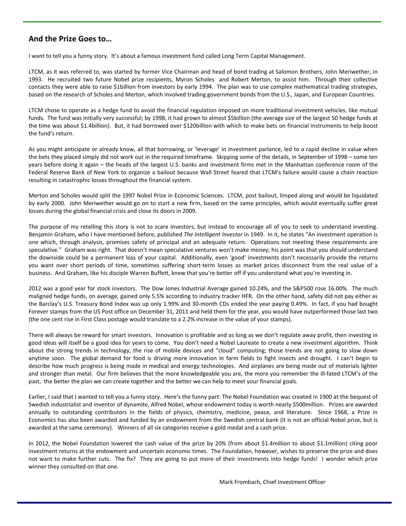### **And the Prize Goes to…**

I want to tell you a funny story. It's about a famous investment fund called Long Term Capital Management.

LTCM, as it was referred to, was started by former Vice Chairman and head of bond trading at Salomon Brothers, John Meriwether, in 1993. He recruited two future Nobel prize recipients, Myron Scholes and Robert Merton, to assist him. Through their collective contacts they were able to raise \$1billion from investors by early 1994. The plan was to use complex mathematical trading strategies, based on the research of Scholes and Merton, which involved trading government bonds from the U.S., Japan, and European Countries.

LTCM chose to operate as a hedge fund to avoid the financial regulation imposed on more traditional investment vehicles, like mutual funds. The fund was initially very successful; by 1998, it had grown to almost \$5billion (the average size of the largest 50 hedge funds at the time was about \$1.4billion). But, it had borrowed over \$120billion with which to make bets on financial instruments to help boost the fund's return.

As you might anticipate or already know, all that borrowing, or 'leverage' in investment parlance, led to a rapid decline in value when the bets they placed simply did not work out in the required timeframe. Skipping some of the details, in September of 1998 – some ten years before doing it again – the heads of the largest U.S. banks and investment firms met in the Manhattan conference room of the Federal Reserve Bank of New York to organize a bailout because Wall Street feared that LTCM's failure would cause a chain reaction resulting in catastrophic losses throughout the financial system.

Merton and Scholes would split the 1997 Nobel Prize in Economic Sciences. LTCM, post bailout, limped along and would be liquidated by early 2000. John Meriwether would go on to start a new firm, based on the same principles, which would eventually suffer great losses during the global financial crisis and close its doors in 2009.

The purpose of my retelling this story is not to scare investors, but instead to encourage all of you to seek to understand investing. Benjamin Graham, who I have mentioned before, published *The Intelligent Investor* in 1949. In it, he states "An investment operation is one which, through analysis, promises safety of principal and an adequate return. Operations not meeting these requirements are speculative." Graham was right. That doesn't mean speculative ventures won't make money; his point was that you should understand the downside could be a permanent loss of your capital. Additionally, even 'good' investments don't necessarily provide the returns you want over short periods of time, sometimes suffering short-term losses as market prices disconnect from the real value of a business. And Graham, like his disciple Warren Buffett, knew that you're better off if you understand what you're investing in.

2012 was a good year for stock investors. The Dow Jones Industrial Average gained 10.24%, and the S&P500 rose 16.00%. The much maligned hedge funds, on average, gained only 5.5% according to industry tracker HFR. On the other hand, safety did not pay either as the Barclay's U.S. Treasury Bond Index was up only 1.99% and 30-month CDs ended the year paying 0.49%. In fact, if you had bought Forever stamps from the US Post office on December 31, 2011 and held them for the year, you would have outperformed those last two (the one cent rise in First Class postage would translate to a 2.2% increase in the value of your stamps).

There will always be reward for smart investors. Innovation is profitable and as long as we don't regulate away profit, then investing in good ideas will itself be a good idea for years to come. You don't need a Nobel Laureate to create a new investment algorithm. Think about the strong trends in technology, the rise of mobile devices and "cloud" computing; those trends are not going to slow down anytime soon. The global demand for food is driving more innovation in farm fields to fight insects and drought. I can't begin to describe how much progress is being made in medical and energy technologies. And airplanes are being made out of materials lighter and stronger than metal. Our firm believes that the more knowledgeable you are, the more you remember the ill-fated LTCM's of the past, the better the plan we can create together and the better we can help to meet your financial goals.

Earlier, I said that I wanted to tell you a funny story. Here's the funny part: The Nobel Foundation was created in 1900 at the bequest of Swedish industrialist and inventor of dynamite, Alfred Nobel, whose endowment today is worth nearly \$500million. Prizes are awarded annually to outstanding contributors in the fields of physics, chemistry, medicine, peace, and literature. Since 1968, a Prize in Economics has also been awarded and funded by an endowment from the Swedish central bank (it is not an official Nobel prize, but is awarded at the same ceremony). Winners of all six categories receive a gold medal and a cash prize.

In 2012, the Nobel Foundation lowered the cash value of the prize by 20% (from about \$1.4million to about \$1.1million) citing poor investment returns at the endowment and uncertain economic times. The Foundation, however, wishes to preserve the prize and does not want to make further cuts. The fix? They are going to put more of their investments into hedge funds! I wonder which prize winner they consulted on that one.

Mark Frombach, Chief Investment Officer